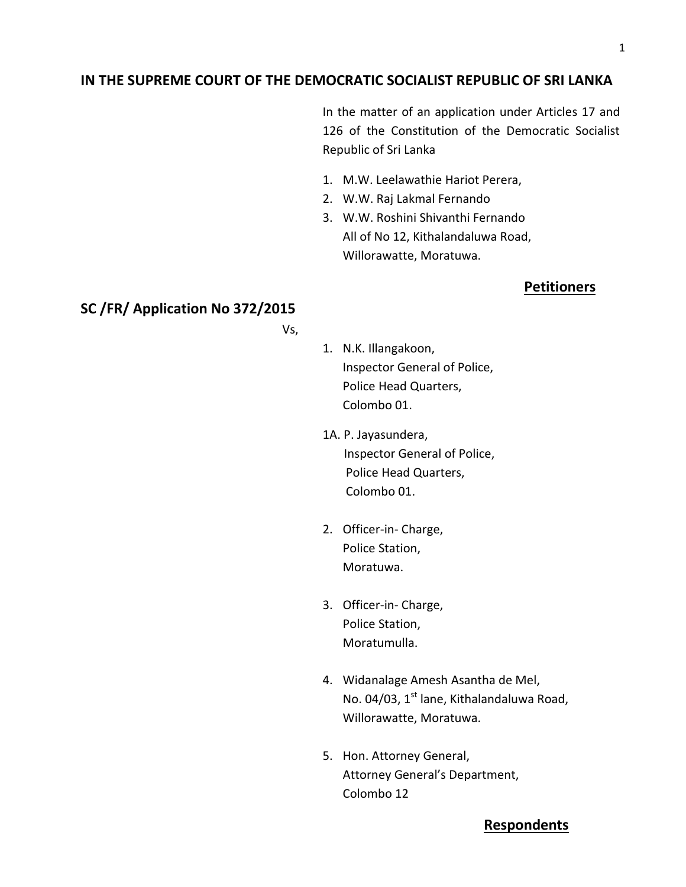## **IN THE SUPREME COURT OF THE DEMOCRATIC SOCIALIST REPUBLIC OF SRI LANKA**

In the matter of an application under Articles 17 and 126 of the Constitution of the Democratic Socialist Republic of Sri Lanka

- 1. M.W. Leelawathie Hariot Perera,
- 2. W.W. Raj Lakmal Fernando
- 3. W.W. Roshini Shivanthi Fernando All of No 12, Kithalandaluwa Road, Willorawatte, Moratuwa.

## **Petitioners**

# **SC /FR/ Application No 372/2015**

Vs,

- 1. N.K. Illangakoon, Inspector General of Police, Police Head Quarters, Colombo 01.
- 1A. P. Jayasundera, Inspector General of Police, Police Head Quarters, Colombo 01.
- 2. Officer-in- Charge, Police Station, Moratuwa.
- 3. Officer-in- Charge, Police Station, Moratumulla.
- 4. Widanalage Amesh Asantha de Mel, No. 04/03, 1<sup>st</sup> lane, Kithalandaluwa Road, Willorawatte, Moratuwa.
- 5. Hon. Attorney General, Attorney General's Department, Colombo 12

## **Respondents**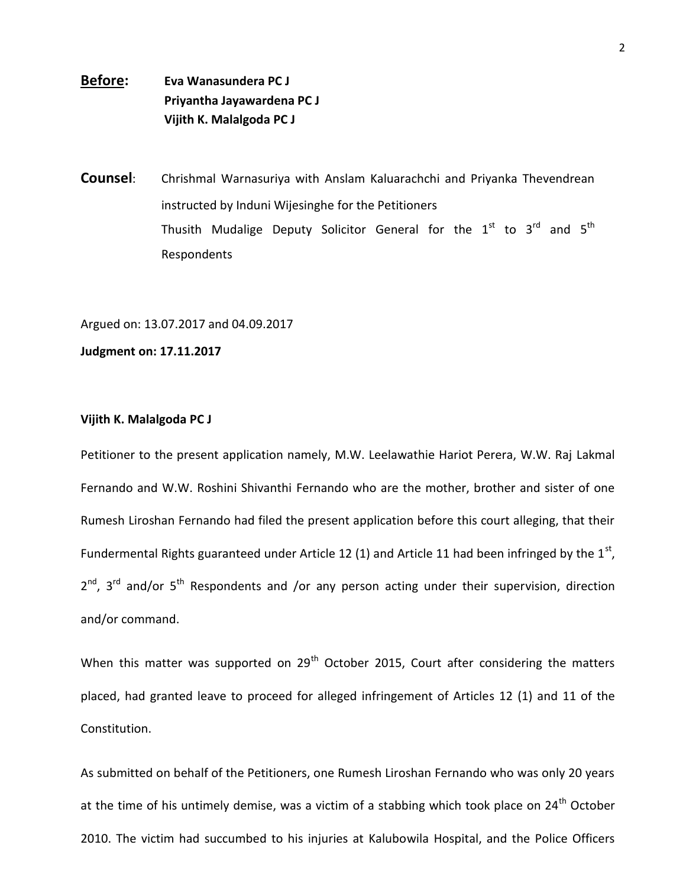# **Before: Eva Wanasundera PC J Priyantha Jayawardena PC J Vijith K. Malalgoda PC J**

**Counsel**: Chrishmal Warnasuriya with Anslam Kaluarachchi and Priyanka Thevendrean instructed by Induni Wijesinghe for the Petitioners Thusith Mudalige Deputy Solicitor General for the  $1^{\text{st}}$  to  $3^{\text{rd}}$  and  $5^{\text{th}}$ Respondents

Argued on: 13.07.2017 and 04.09.2017

**Judgment on: 17.11.2017**

#### **Vijith K. Malalgoda PC J**

Petitioner to the present application namely, M.W. Leelawathie Hariot Perera, W.W. Raj Lakmal Fernando and W.W. Roshini Shivanthi Fernando who are the mother, brother and sister of one Rumesh Liroshan Fernando had filed the present application before this court alleging, that their Fundermental Rights guaranteed under Article 12 (1) and Article 11 had been infringed by the  $1^{\text{st}}$ , 2<sup>nd</sup>, 3<sup>rd</sup> and/or 5<sup>th</sup> Respondents and /or any person acting under their supervision, direction and/or command.

When this matter was supported on  $29<sup>th</sup>$  October 2015, Court after considering the matters placed, had granted leave to proceed for alleged infringement of Articles 12 (1) and 11 of the Constitution.

As submitted on behalf of the Petitioners, one Rumesh Liroshan Fernando who was only 20 years at the time of his untimely demise, was a victim of a stabbing which took place on 24<sup>th</sup> October 2010. The victim had succumbed to his injuries at Kalubowila Hospital, and the Police Officers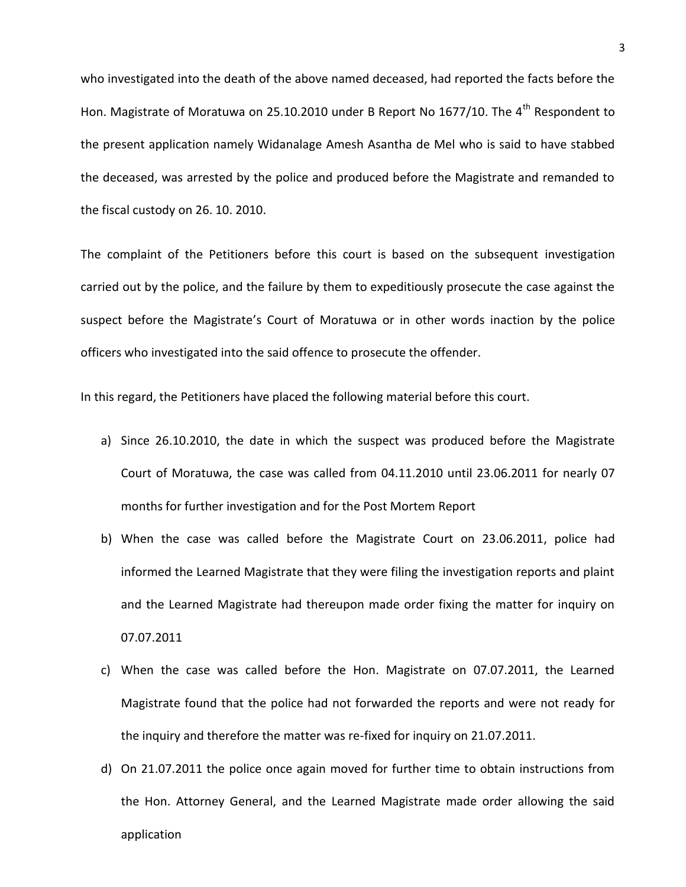who investigated into the death of the above named deceased, had reported the facts before the Hon. Magistrate of Moratuwa on 25.10.2010 under B Report No 1677/10. The 4<sup>th</sup> Respondent to the present application namely Widanalage Amesh Asantha de Mel who is said to have stabbed the deceased, was arrested by the police and produced before the Magistrate and remanded to the fiscal custody on 26. 10. 2010.

The complaint of the Petitioners before this court is based on the subsequent investigation carried out by the police, and the failure by them to expeditiously prosecute the case against the suspect before the Magistrate's Court of Moratuwa or in other words inaction by the police officers who investigated into the said offence to prosecute the offender.

In this regard, the Petitioners have placed the following material before this court.

- a) Since 26.10.2010, the date in which the suspect was produced before the Magistrate Court of Moratuwa, the case was called from 04.11.2010 until 23.06.2011 for nearly 07 months for further investigation and for the Post Mortem Report
- b) When the case was called before the Magistrate Court on 23.06.2011, police had informed the Learned Magistrate that they were filing the investigation reports and plaint and the Learned Magistrate had thereupon made order fixing the matter for inquiry on 07.07.2011
- c) When the case was called before the Hon. Magistrate on 07.07.2011, the Learned Magistrate found that the police had not forwarded the reports and were not ready for the inquiry and therefore the matter was re-fixed for inquiry on 21.07.2011.
- d) On 21.07.2011 the police once again moved for further time to obtain instructions from the Hon. Attorney General, and the Learned Magistrate made order allowing the said application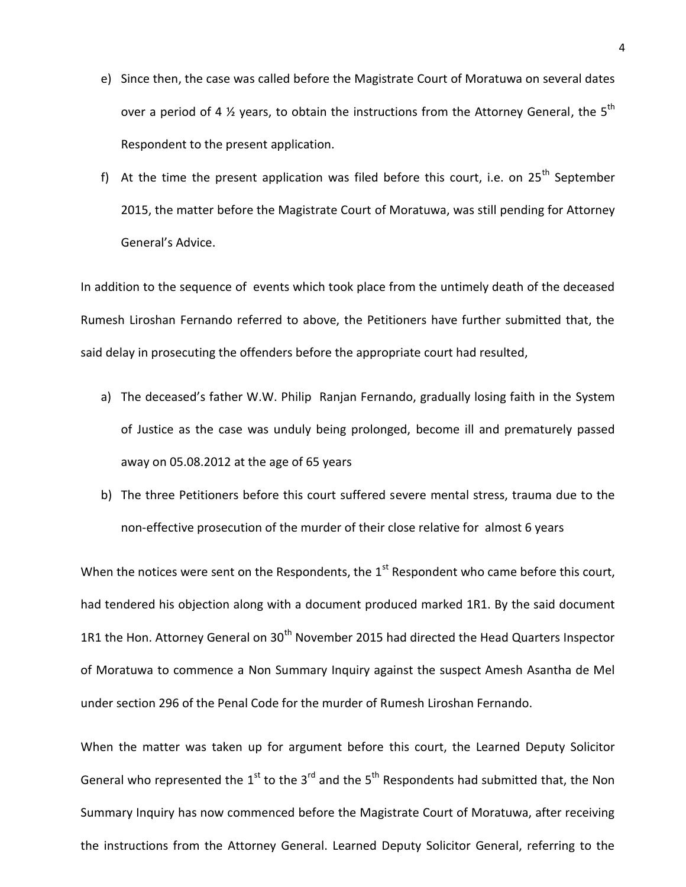- e) Since then, the case was called before the Magistrate Court of Moratuwa on several dates over a period of 4  $\frac{1}{2}$  years, to obtain the instructions from the Attorney General, the 5<sup>th</sup> Respondent to the present application.
- f) At the time the present application was filed before this court, i.e. on  $25<sup>th</sup>$  September 2015, the matter before the Magistrate Court of Moratuwa, was still pending for Attorney General's Advice.

In addition to the sequence of events which took place from the untimely death of the deceased Rumesh Liroshan Fernando referred to above, the Petitioners have further submitted that, the said delay in prosecuting the offenders before the appropriate court had resulted,

- a) The deceased's father W.W. Philip Ranjan Fernando, gradually losing faith in the System of Justice as the case was unduly being prolonged, become ill and prematurely passed away on 05.08.2012 at the age of 65 years
- b) The three Petitioners before this court suffered severe mental stress, trauma due to the non-effective prosecution of the murder of their close relative for almost 6 years

When the notices were sent on the Respondents, the  $1<sup>st</sup>$  Respondent who came before this court, had tendered his objection along with a document produced marked 1R1. By the said document 1R1 the Hon. Attorney General on  $30<sup>th</sup>$  November 2015 had directed the Head Quarters Inspector of Moratuwa to commence a Non Summary Inquiry against the suspect Amesh Asantha de Mel under section 296 of the Penal Code for the murder of Rumesh Liroshan Fernando.

When the matter was taken up for argument before this court, the Learned Deputy Solicitor General who represented the 1<sup>st</sup> to the 3<sup>rd</sup> and the 5<sup>th</sup> Respondents had submitted that, the Non Summary Inquiry has now commenced before the Magistrate Court of Moratuwa, after receiving the instructions from the Attorney General. Learned Deputy Solicitor General, referring to the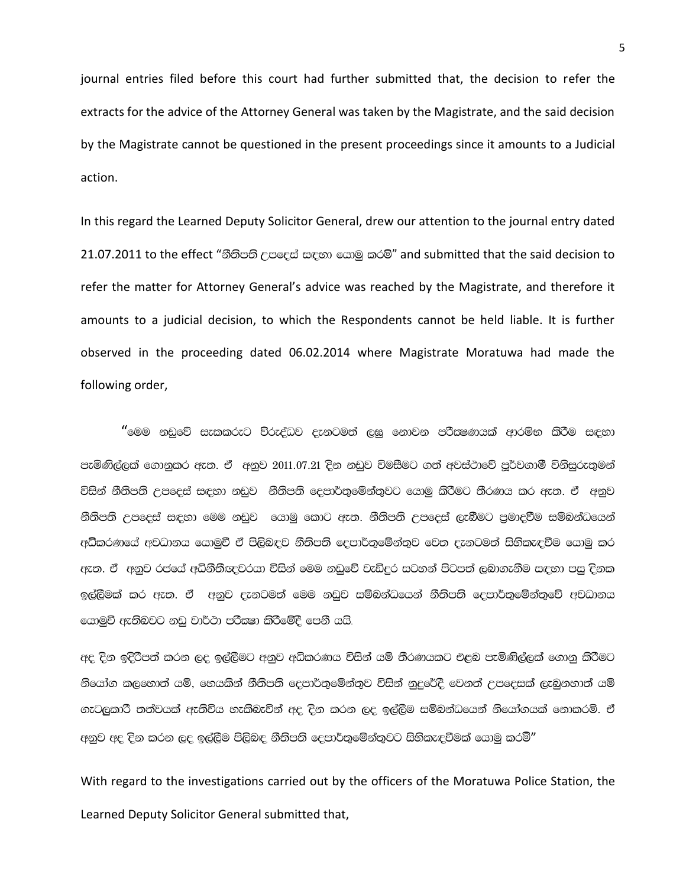journal entries filed before this court had further submitted that, the decision to refer the extracts for the advice of the Attorney General was taken by the Magistrate, and the said decision by the Magistrate cannot be questioned in the present proceedings since it amounts to a Judicial action.

In this regard the Learned Deputy Solicitor General, drew our attention to the journal entry dated 21.07.2011 to the effect "නීතිපති උපදෙස් සඳහා යොමු කරමි" and submitted that the said decision to refer the matter for Attorney General's advice was reached by the Magistrate, and therefore it amounts to a judicial decision, to which the Respondents cannot be held liable. It is further observed in the proceeding dated 06.02.2014 where Magistrate Moratuwa had made the following order,

"මෙම නඩුවේ සැකකරුට ව්රුද්ධව දැනටමත් ලඝු නොවන පරිිකණයක් ආරම්භ කිරීම සඳහා පැමිණිල්ලක් ගොනුකර ඇත. ඒ අනුව 2011.07.21 දින නඩුව විමසීමට ගත් අවස්ථාවේ පූර්වගාමී විනිසුරුතුමන් විසින් නීතිපති උපදෙස් සඳහා නඩුව නීතිපති දෙපාර්තුමේන්තුවට යොමු කිරීමට තීරණය කර ඇත. ඒ අනුව නීතිපති උපදෙස් සඳහා මෙම නඩුව යොමු කොට ඇත. නීතිපති උපදෙස් ලැබීමට පුමාදවීම සම්බන්ධයෙන් අධිකරණයේ අවධානය යොමුවී ඒ පිලිබඳව නීතිපති දෙපාර්තුමේන්තුව වෙත දැනටමත් සිහිකැඳවීම යොමු කර ඇත. ඒ අනුව රජයේ අධිනීතීඥවරයා විසින් මෙම නඩුවේ වැඩිදුර සටහන් පිටපත් ලබාගැනීම සඳහා පසු දිනක ඉල්ලීමක් කර ඇත. ඒ අනුව දැනටමත් මෙම නඩුව සම්බන්ධයෙන් නීතිපති දෙපාර්තුමේන්තුවේ අවධානය ගොමුවී ඇතිබවට නඩු වාර්ථා පරිසෂා කිරීමේදී පෙනී යයි.

අද දින ඉදිරිපත් කරන ලද ඉල්ලීමට අනුව අධිකරණය විසින් යම් තීරණයකට එළබ පැමිණිල්ලක් ගොනු කිරීමට නියෝග කලහොත් යම්, හෙයකින් නීතිපති දෙපාර්තුමේන්තුව විසින් නුදුරේදී වෙනත් උපදෙසක් ලැබුනහාත් යම් .ez,ලකාරී තත්වයක් ඇතිවිය හැකිබැවින් අද දින කරන ලද ඉල්ලීම සම්බන්ධයෙන් නියෝගයක් නොකරමි. ඒ අනුව අද දින කරන ලද ඉල්ලීම පිලිබඳ නීතිපති දෙපාර්තුමේන්තුවට සිහිකැඳවීමක් යොමු කරම්"

With regard to the investigations carried out by the officers of the Moratuwa Police Station, the Learned Deputy Solicitor General submitted that,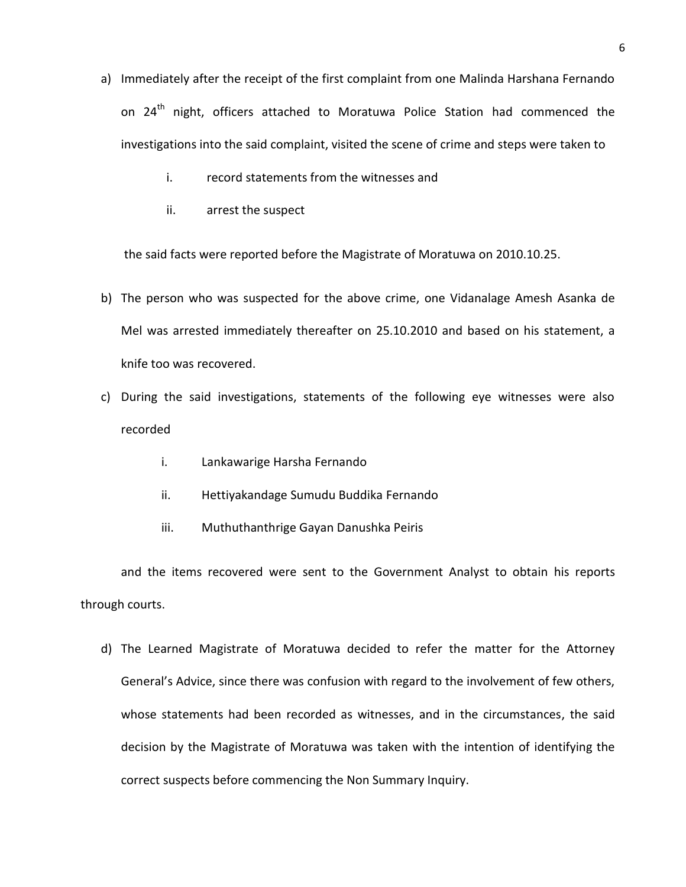- a) Immediately after the receipt of the first complaint from one Malinda Harshana Fernando on 24<sup>th</sup> night, officers attached to Moratuwa Police Station had commenced the investigations into the said complaint, visited the scene of crime and steps were taken to
	- i. record statements from the witnesses and
	- ii. arrest the suspect

the said facts were reported before the Magistrate of Moratuwa on 2010.10.25.

- b) The person who was suspected for the above crime, one Vidanalage Amesh Asanka de Mel was arrested immediately thereafter on 25.10.2010 and based on his statement, a knife too was recovered.
- c) During the said investigations, statements of the following eye witnesses were also recorded
	- i. Lankawarige Harsha Fernando
	- ii. Hettiyakandage Sumudu Buddika Fernando
	- iii. Muthuthanthrige Gayan Danushka Peiris

and the items recovered were sent to the Government Analyst to obtain his reports through courts.

d) The Learned Magistrate of Moratuwa decided to refer the matter for the Attorney General's Advice, since there was confusion with regard to the involvement of few others, whose statements had been recorded as witnesses, and in the circumstances, the said decision by the Magistrate of Moratuwa was taken with the intention of identifying the correct suspects before commencing the Non Summary Inquiry.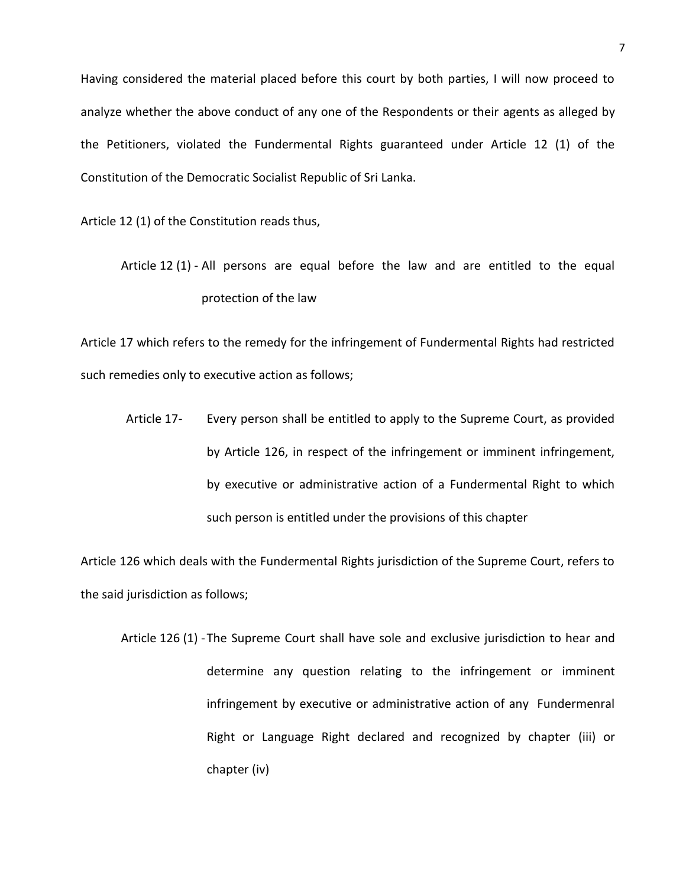Having considered the material placed before this court by both parties, I will now proceed to analyze whether the above conduct of any one of the Respondents or their agents as alleged by the Petitioners, violated the Fundermental Rights guaranteed under Article 12 (1) of the Constitution of the Democratic Socialist Republic of Sri Lanka.

Article 12 (1) of the Constitution reads thus,

Article 12 (1) - All persons are equal before the law and are entitled to the equal protection of the law

Article 17 which refers to the remedy for the infringement of Fundermental Rights had restricted such remedies only to executive action as follows;

Article 17- Every person shall be entitled to apply to the Supreme Court, as provided by Article 126, in respect of the infringement or imminent infringement, by executive or administrative action of a Fundermental Right to which such person is entitled under the provisions of this chapter

Article 126 which deals with the Fundermental Rights jurisdiction of the Supreme Court, refers to the said jurisdiction as follows;

Article 126 (1) -The Supreme Court shall have sole and exclusive jurisdiction to hear and determine any question relating to the infringement or imminent infringement by executive or administrative action of any Fundermenral Right or Language Right declared and recognized by chapter (iii) or chapter (iv)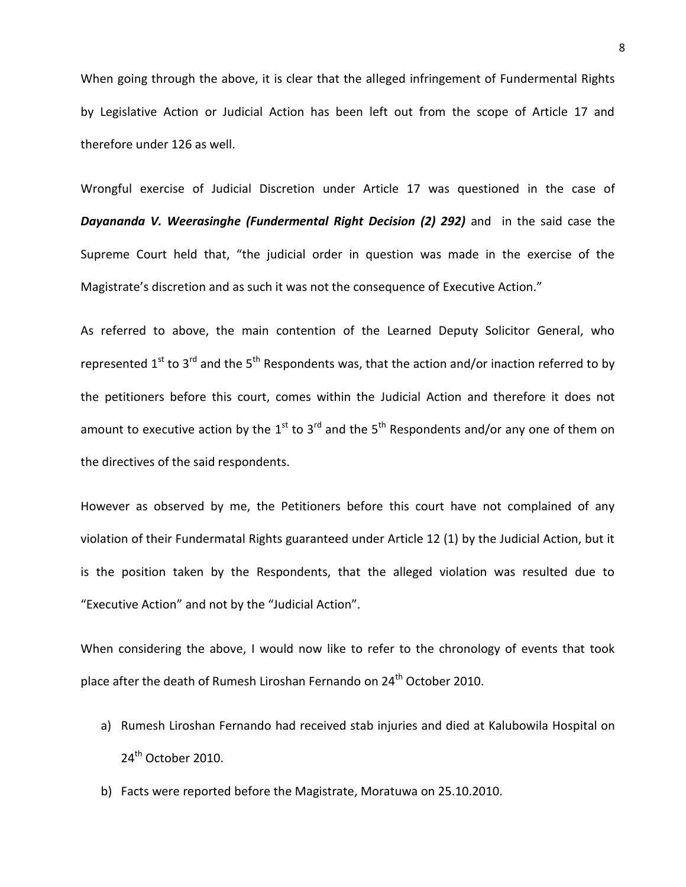When going through the above, it is clear that the alleged infringement of Fundermental Rights by Legislative Action or Judicial Action has been left out from the scope of Article 17 and therefore under 126 as well.

Wrongful exercise of Judicial Discretion under Article 17 was questioned in the case of *Dayananda V. Weerasinghe (Fundermental Right Decision (2) 292)* and in the said case the Supreme Court held that, "the judicial order in question was made in the exercise of the Magistrate's discretion and as such it was not the consequence of Executive Action."

As referred to above, the main contention of the Learned Deputy Solicitor General, who represented  $1^{st}$  to  $3^{rd}$  and the  $5^{th}$  Respondents was, that the action and/or inaction referred to by the petitioners before this court, comes within the Judicial Action and therefore it does not amount to executive action by the 1<sup>st</sup> to 3<sup>rd</sup> and the 5<sup>th</sup> Respondents and/or any one of them on the directives of the said respondents.

However as observed by me, the Petitioners before this court have not complained of any violation of their Fundermatal Rights guaranteed under Article 12 (1) by the Judicial Action, but it is the position taken by the Respondents, that the alleged violation was resulted due to "Executive Action" and not by the "Judicial Action".

When considering the above, I would now like to refer to the chronology of events that took place after the death of Rumesh Liroshan Fernando on 24<sup>th</sup> October 2010.

- a) Rumesh Liroshan Fernando had received stab injuries and died at Kalubowila Hospital on 24<sup>th</sup> October 2010.
- b) Facts were reported before the Magistrate, Moratuwa on 25.10.2010.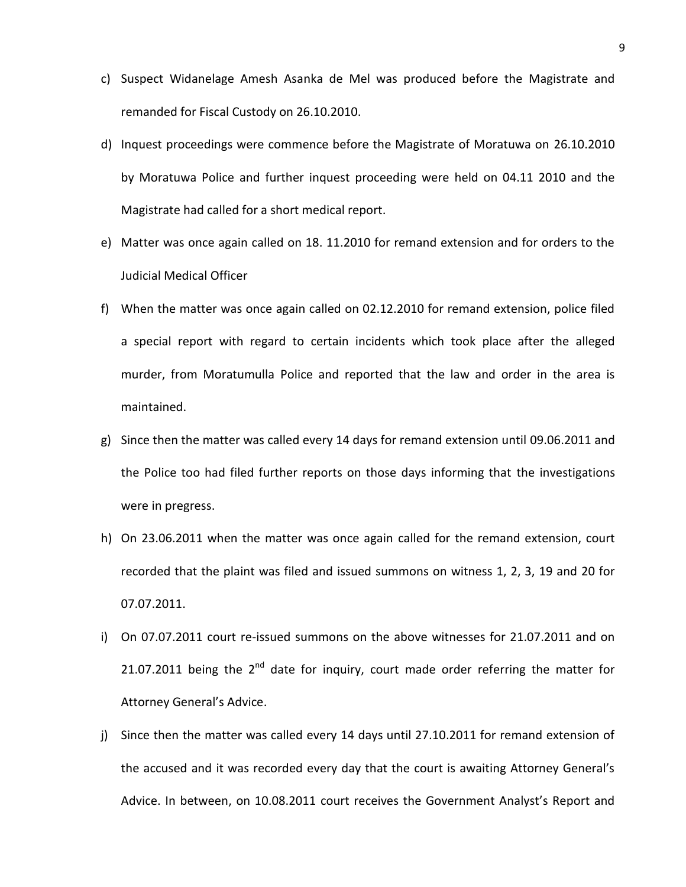- c) Suspect Widanelage Amesh Asanka de Mel was produced before the Magistrate and remanded for Fiscal Custody on 26.10.2010.
- d) Inquest proceedings were commence before the Magistrate of Moratuwa on 26.10.2010 by Moratuwa Police and further inquest proceeding were held on 04.11 2010 and the Magistrate had called for a short medical report.
- e) Matter was once again called on 18. 11.2010 for remand extension and for orders to the Judicial Medical Officer
- f) When the matter was once again called on 02.12.2010 for remand extension, police filed a special report with regard to certain incidents which took place after the alleged murder, from Moratumulla Police and reported that the law and order in the area is maintained.
- g) Since then the matter was called every 14 days for remand extension until 09.06.2011 and the Police too had filed further reports on those days informing that the investigations were in pregress.
- h) On 23.06.2011 when the matter was once again called for the remand extension, court recorded that the plaint was filed and issued summons on witness 1, 2, 3, 19 and 20 for 07.07.2011.
- i) On 07.07.2011 court re-issued summons on the above witnesses for 21.07.2011 and on 21.07.2011 being the  $2^{nd}$  date for inquiry, court made order referring the matter for Attorney General's Advice.
- j) Since then the matter was called every 14 days until 27.10.2011 for remand extension of the accused and it was recorded every day that the court is awaiting Attorney General's Advice. In between, on 10.08.2011 court receives the Government Analyst's Report and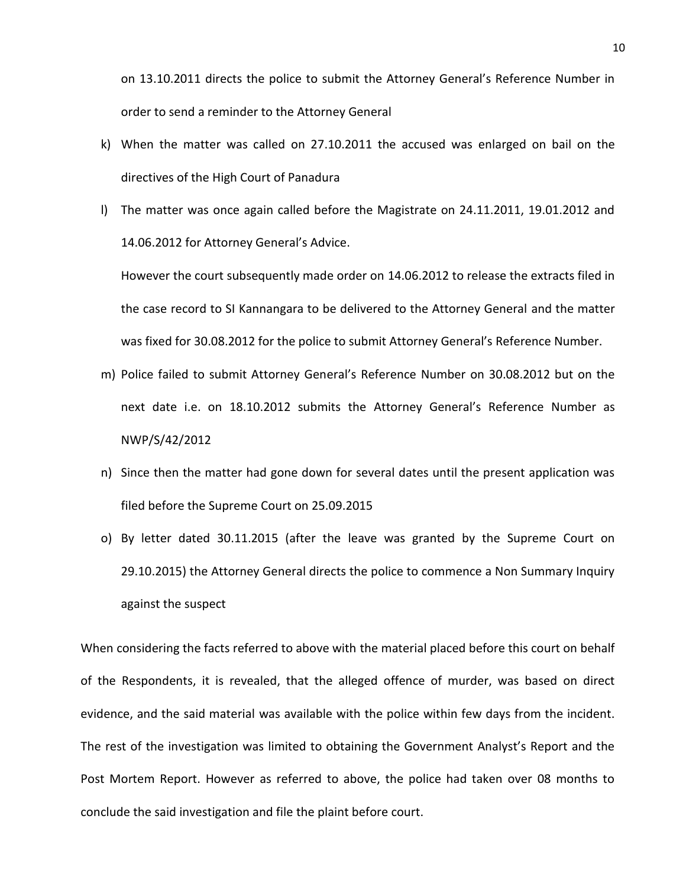on 13.10.2011 directs the police to submit the Attorney General's Reference Number in order to send a reminder to the Attorney General

- k) When the matter was called on 27.10.2011 the accused was enlarged on bail on the directives of the High Court of Panadura
- l) The matter was once again called before the Magistrate on 24.11.2011, 19.01.2012 and 14.06.2012 for Attorney General's Advice.

However the court subsequently made order on 14.06.2012 to release the extracts filed in the case record to SI Kannangara to be delivered to the Attorney General and the matter was fixed for 30.08.2012 for the police to submit Attorney General's Reference Number.

- m) Police failed to submit Attorney General's Reference Number on 30.08.2012 but on the next date i.e. on 18.10.2012 submits the Attorney General's Reference Number as NWP/S/42/2012
- n) Since then the matter had gone down for several dates until the present application was filed before the Supreme Court on 25.09.2015
- o) By letter dated 30.11.2015 (after the leave was granted by the Supreme Court on 29.10.2015) the Attorney General directs the police to commence a Non Summary Inquiry against the suspect

When considering the facts referred to above with the material placed before this court on behalf of the Respondents, it is revealed, that the alleged offence of murder, was based on direct evidence, and the said material was available with the police within few days from the incident. The rest of the investigation was limited to obtaining the Government Analyst's Report and the Post Mortem Report. However as referred to above, the police had taken over 08 months to conclude the said investigation and file the plaint before court.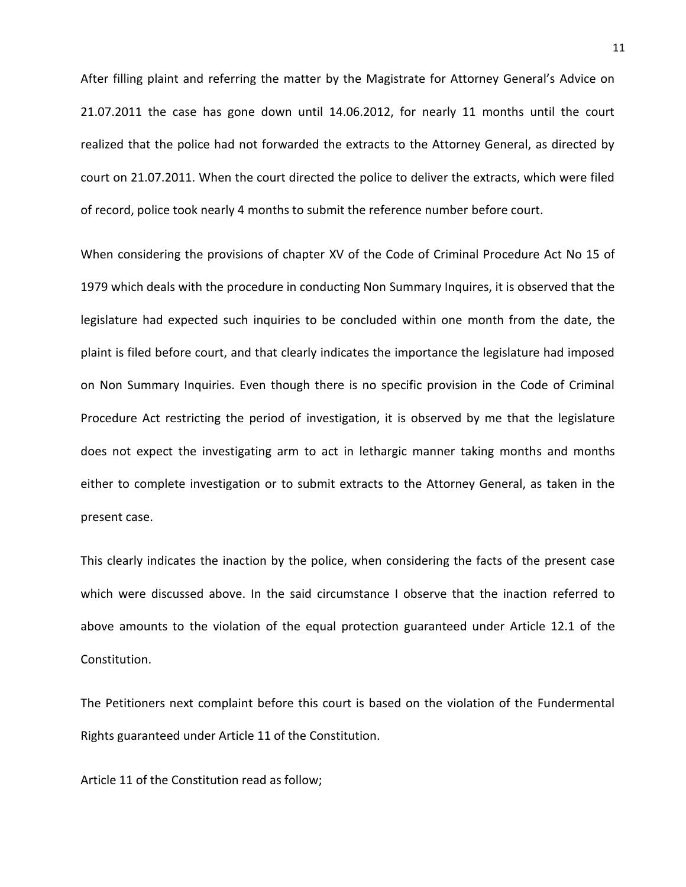After filling plaint and referring the matter by the Magistrate for Attorney General's Advice on 21.07.2011 the case has gone down until 14.06.2012, for nearly 11 months until the court realized that the police had not forwarded the extracts to the Attorney General, as directed by court on 21.07.2011. When the court directed the police to deliver the extracts, which were filed of record, police took nearly 4 months to submit the reference number before court.

When considering the provisions of chapter XV of the Code of Criminal Procedure Act No 15 of 1979 which deals with the procedure in conducting Non Summary Inquires, it is observed that the legislature had expected such inquiries to be concluded within one month from the date, the plaint is filed before court, and that clearly indicates the importance the legislature had imposed on Non Summary Inquiries. Even though there is no specific provision in the Code of Criminal Procedure Act restricting the period of investigation, it is observed by me that the legislature does not expect the investigating arm to act in lethargic manner taking months and months either to complete investigation or to submit extracts to the Attorney General, as taken in the present case.

This clearly indicates the inaction by the police, when considering the facts of the present case which were discussed above. In the said circumstance I observe that the inaction referred to above amounts to the violation of the equal protection guaranteed under Article 12.1 of the Constitution.

The Petitioners next complaint before this court is based on the violation of the Fundermental Rights guaranteed under Article 11 of the Constitution.

Article 11 of the Constitution read as follow;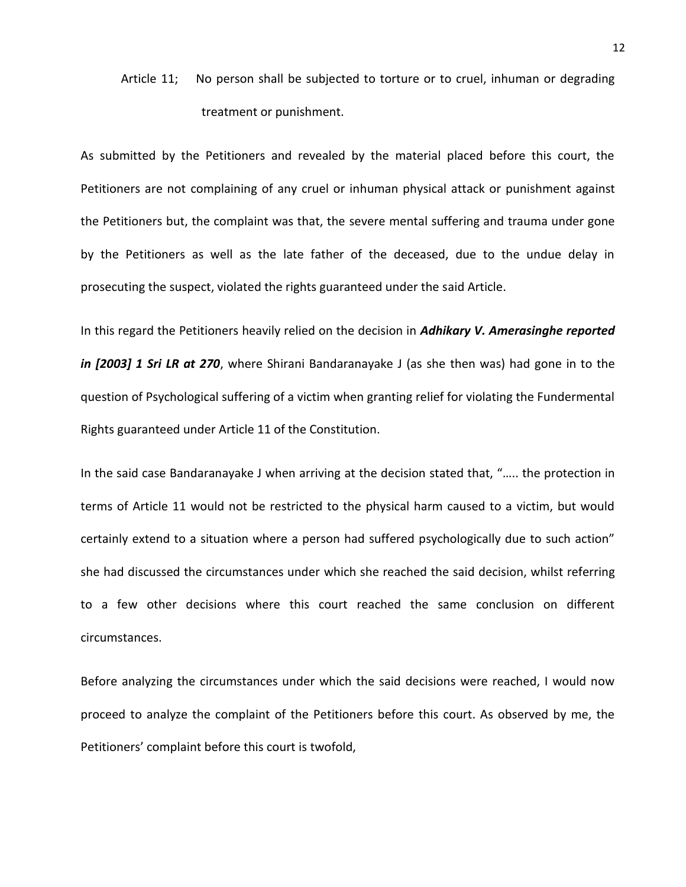# Article 11; No person shall be subjected to torture or to cruel, inhuman or degrading treatment or punishment.

As submitted by the Petitioners and revealed by the material placed before this court, the Petitioners are not complaining of any cruel or inhuman physical attack or punishment against the Petitioners but, the complaint was that, the severe mental suffering and trauma under gone by the Petitioners as well as the late father of the deceased, due to the undue delay in prosecuting the suspect, violated the rights guaranteed under the said Article.

In this regard the Petitioners heavily relied on the decision in *Adhikary V. Amerasinghe reported in [2003] 1 Sri LR at 270*, where Shirani Bandaranayake J (as she then was) had gone in to the question of Psychological suffering of a victim when granting relief for violating the Fundermental Rights guaranteed under Article 11 of the Constitution.

In the said case Bandaranayake J when arriving at the decision stated that, "….. the protection in terms of Article 11 would not be restricted to the physical harm caused to a victim, but would certainly extend to a situation where a person had suffered psychologically due to such action" she had discussed the circumstances under which she reached the said decision, whilst referring to a few other decisions where this court reached the same conclusion on different circumstances.

Before analyzing the circumstances under which the said decisions were reached, I would now proceed to analyze the complaint of the Petitioners before this court. As observed by me, the Petitioners' complaint before this court is twofold,

12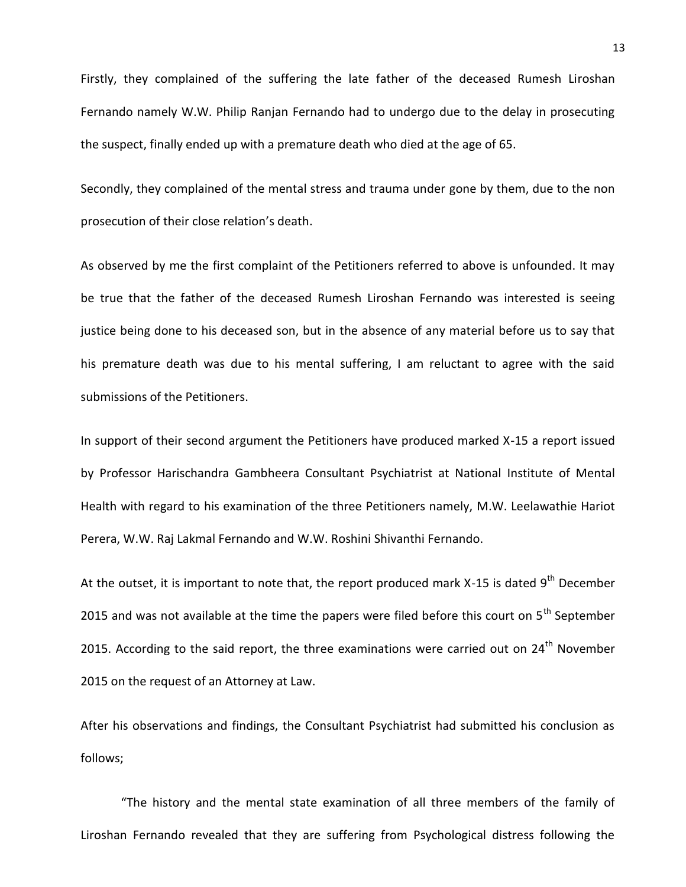Firstly, they complained of the suffering the late father of the deceased Rumesh Liroshan Fernando namely W.W. Philip Ranjan Fernando had to undergo due to the delay in prosecuting the suspect, finally ended up with a premature death who died at the age of 65.

Secondly, they complained of the mental stress and trauma under gone by them, due to the non prosecution of their close relation's death.

As observed by me the first complaint of the Petitioners referred to above is unfounded. It may be true that the father of the deceased Rumesh Liroshan Fernando was interested is seeing justice being done to his deceased son, but in the absence of any material before us to say that his premature death was due to his mental suffering, I am reluctant to agree with the said submissions of the Petitioners.

In support of their second argument the Petitioners have produced marked X-15 a report issued by Professor Harischandra Gambheera Consultant Psychiatrist at National Institute of Mental Health with regard to his examination of the three Petitioners namely, M.W. Leelawathie Hariot Perera, W.W. Raj Lakmal Fernando and W.W. Roshini Shivanthi Fernando.

At the outset, it is important to note that, the report produced mark X-15 is dated  $9<sup>th</sup>$  December 2015 and was not available at the time the papers were filed before this court on  $5<sup>th</sup>$  September 2015. According to the said report, the three examinations were carried out on  $24<sup>th</sup>$  November 2015 on the request of an Attorney at Law.

After his observations and findings, the Consultant Psychiatrist had submitted his conclusion as follows;

"The history and the mental state examination of all three members of the family of Liroshan Fernando revealed that they are suffering from Psychological distress following the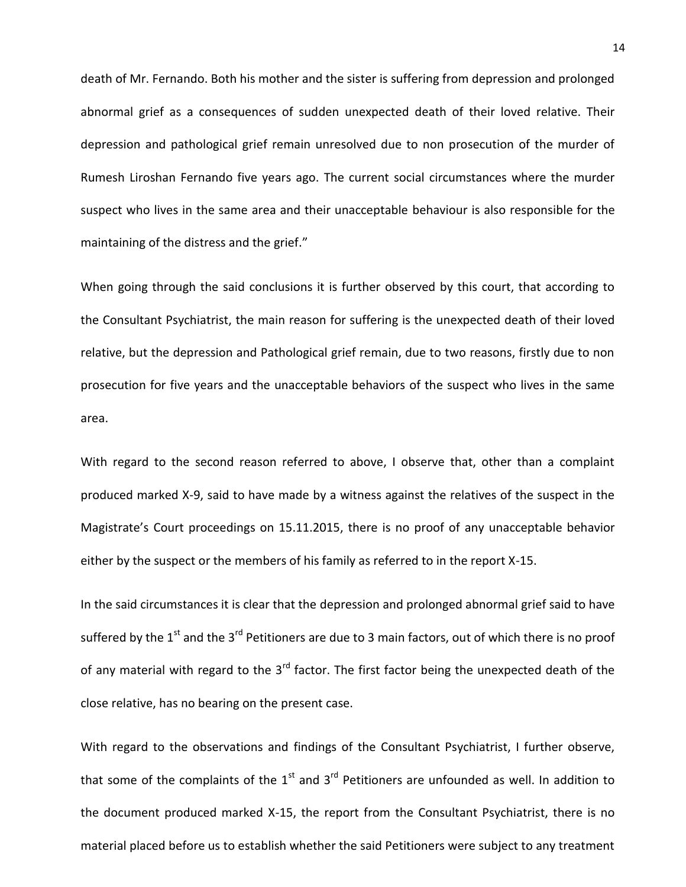death of Mr. Fernando. Both his mother and the sister is suffering from depression and prolonged abnormal grief as a consequences of sudden unexpected death of their loved relative. Their depression and pathological grief remain unresolved due to non prosecution of the murder of Rumesh Liroshan Fernando five years ago. The current social circumstances where the murder suspect who lives in the same area and their unacceptable behaviour is also responsible for the maintaining of the distress and the grief."

When going through the said conclusions it is further observed by this court, that according to the Consultant Psychiatrist, the main reason for suffering is the unexpected death of their loved relative, but the depression and Pathological grief remain, due to two reasons, firstly due to non prosecution for five years and the unacceptable behaviors of the suspect who lives in the same area.

With regard to the second reason referred to above, I observe that, other than a complaint produced marked X-9, said to have made by a witness against the relatives of the suspect in the Magistrate's Court proceedings on 15.11.2015, there is no proof of any unacceptable behavior either by the suspect or the members of his family as referred to in the report X-15.

In the said circumstances it is clear that the depression and prolonged abnormal grief said to have suffered by the 1<sup>st</sup> and the 3<sup>rd</sup> Petitioners are due to 3 main factors, out of which there is no proof of any material with regard to the  $3^{rd}$  factor. The first factor being the unexpected death of the close relative, has no bearing on the present case.

With regard to the observations and findings of the Consultant Psychiatrist, I further observe, that some of the complaints of the  $1<sup>st</sup>$  and  $3<sup>rd</sup>$  Petitioners are unfounded as well. In addition to the document produced marked X-15, the report from the Consultant Psychiatrist, there is no material placed before us to establish whether the said Petitioners were subject to any treatment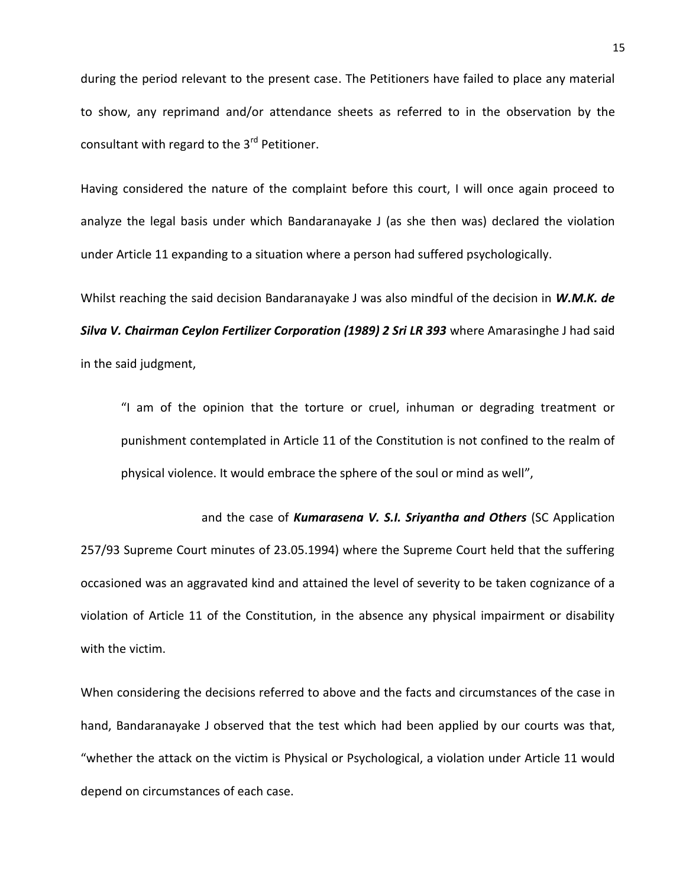during the period relevant to the present case. The Petitioners have failed to place any material to show, any reprimand and/or attendance sheets as referred to in the observation by the consultant with regard to the 3<sup>rd</sup> Petitioner.

Having considered the nature of the complaint before this court, I will once again proceed to analyze the legal basis under which Bandaranayake J (as she then was) declared the violation under Article 11 expanding to a situation where a person had suffered psychologically.

Whilst reaching the said decision Bandaranayake J was also mindful of the decision in *W.M.K. de Silva V. Chairman Ceylon Fertilizer Corporation (1989) 2 Sri LR 393* where Amarasinghe J had said in the said judgment,

"I am of the opinion that the torture or cruel, inhuman or degrading treatment or punishment contemplated in Article 11 of the Constitution is not confined to the realm of physical violence. It would embrace the sphere of the soul or mind as well",

and the case of *Kumarasena V. S.I. Sriyantha and Others* (SC Application 257/93 Supreme Court minutes of 23.05.1994) where the Supreme Court held that the suffering occasioned was an aggravated kind and attained the level of severity to be taken cognizance of a violation of Article 11 of the Constitution, in the absence any physical impairment or disability with the victim.

When considering the decisions referred to above and the facts and circumstances of the case in hand, Bandaranayake J observed that the test which had been applied by our courts was that, "whether the attack on the victim is Physical or Psychological, a violation under Article 11 would depend on circumstances of each case.